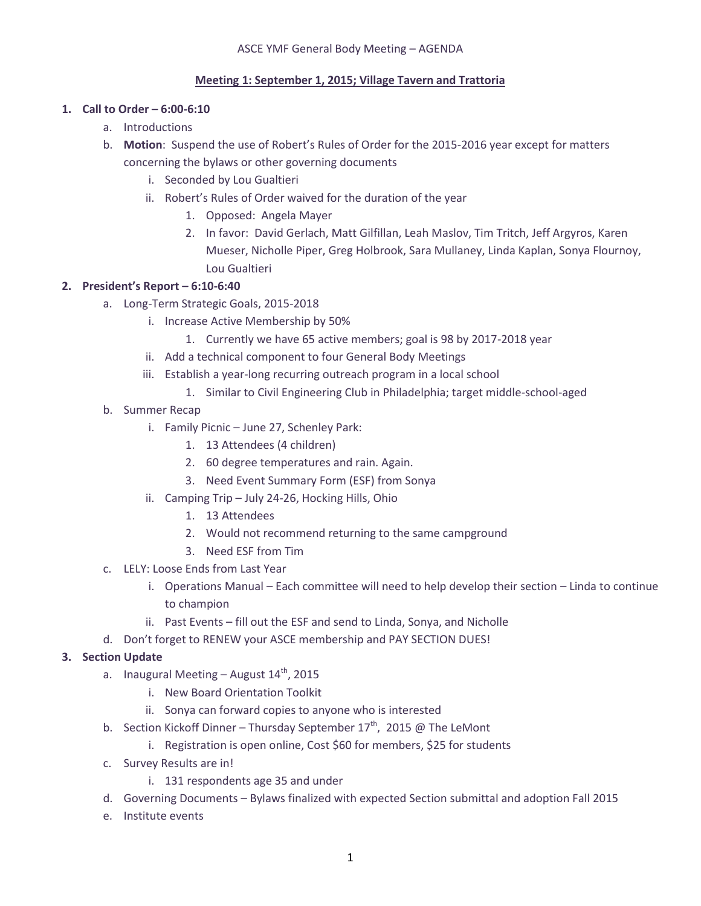## **Meeting 1: September 1, 2015; Village Tavern and Trattoria**

# **1. Call to Order – 6:00-6:10**

- a. Introductions
- b. **Motion**: Suspend the use of Robert's Rules of Order for the 2015-2016 year except for matters concerning the bylaws or other governing documents
	- i. Seconded by Lou Gualtieri
	- ii. Robert's Rules of Order waived for the duration of the year
		- 1. Opposed: Angela Mayer
		- 2. In favor: David Gerlach, Matt Gilfillan, Leah Maslov, Tim Tritch, Jeff Argyros, Karen Mueser, Nicholle Piper, Greg Holbrook, Sara Mullaney, Linda Kaplan, Sonya Flournoy, Lou Gualtieri

# **2. President's Report – 6:10-6:40**

- a. Long-Term Strategic Goals, 2015-2018
	- i. Increase Active Membership by 50%
		- 1. Currently we have 65 active members; goal is 98 by 2017-2018 year
	- ii. Add a technical component to four General Body Meetings
	- iii. Establish a year-long recurring outreach program in a local school
		- 1. Similar to Civil Engineering Club in Philadelphia; target middle-school-aged
- b. Summer Recap
	- i. Family Picnic June 27, Schenley Park:
		- 1. 13 Attendees (4 children)
		- 2. 60 degree temperatures and rain. Again.
		- 3. Need Event Summary Form (ESF) from Sonya
	- ii. Camping Trip July 24-26, Hocking Hills, Ohio
		- 1. 13 Attendees
		- 2. Would not recommend returning to the same campground
		- 3. Need ESF from Tim
- c. LELY: Loose Ends from Last Year
	- i. Operations Manual Each committee will need to help develop their section Linda to continue to champion
	- ii. Past Events fill out the ESF and send to Linda, Sonya, and Nicholle
- d. Don't forget to RENEW your ASCE membership and PAY SECTION DUES!

## **3. Section Update**

- a. Inaugural Meeting August  $14<sup>th</sup>$ , 2015
	- i. New Board Orientation Toolkit
	- ii. Sonya can forward copies to anyone who is interested
- b. Section Kickoff Dinner Thursday September  $17<sup>th</sup>$ , 2015 @ The LeMont
	- i. Registration is open online, Cost \$60 for members, \$25 for students
- c. Survey Results are in!
	- i. 131 respondents age 35 and under
- d. Governing Documents Bylaws finalized with expected Section submittal and adoption Fall 2015
- e. Institute events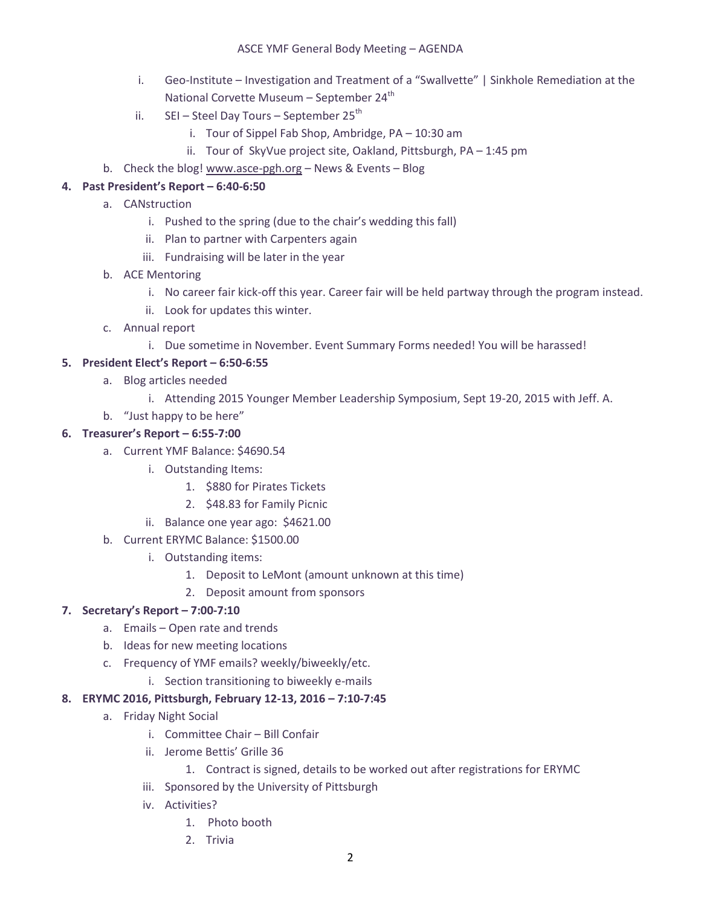#### ASCE YMF General Body Meeting – AGENDA

- i. Geo-Institute Investigation and Treatment of a "Swallvette" | Sinkhole Remediation at the National Corvette Museum - September 24<sup>th</sup>
- ii.  $SEI Steel$  Day Tours September 25<sup>th</sup>
	- i. Tour of Sippel Fab Shop, Ambridge, PA 10:30 am
	- ii. Tour of SkyVue project site, Oakland, Pittsburgh, PA 1:45 pm
- b. Check the blog! [www.asce-pgh.org](http://www.asce-pgh.org/) News & Events Blog

# **4. Past President's Report – 6:40-6:50**

- a. CANstruction
	- i. Pushed to the spring (due to the chair's wedding this fall)
	- ii. Plan to partner with Carpenters again
	- iii. Fundraising will be later in the year
- b. ACE Mentoring
	- i. No career fair kick-off this year. Career fair will be held partway through the program instead.
	- ii. Look for updates this winter.
- c. Annual report
	- i. Due sometime in November. Event Summary Forms needed! You will be harassed!

#### **5. President Elect's Report – 6:50-6:55**

- a. Blog articles needed
	- i. Attending 2015 Younger Member Leadership Symposium, Sept 19-20, 2015 with Jeff. A.
- b. "Just happy to be here"

#### **6. Treasurer's Report – 6:55-7:00**

- a. Current YMF Balance: \$4690.54
	- i. Outstanding Items:
		- 1. \$880 for Pirates Tickets
		- 2. \$48.83 for Family Picnic
	- ii. Balance one year ago: \$4621.00
- b. Current ERYMC Balance: \$1500.00
	- i. Outstanding items:
		- 1. Deposit to LeMont (amount unknown at this time)
		- 2. Deposit amount from sponsors

## **7. Secretary's Report – 7:00-7:10**

- a. Emails Open rate and trends
- b. Ideas for new meeting locations
- c. Frequency of YMF emails? weekly/biweekly/etc.
	- i. Section transitioning to biweekly e-mails

#### **8. ERYMC 2016, Pittsburgh, February 12-13, 2016 – 7:10-7:45**

- a. Friday Night Social
	- i. Committee Chair Bill Confair
	- ii. Jerome Bettis' Grille 36
		- 1. Contract is signed, details to be worked out after registrations for ERYMC
	- iii. Sponsored by the University of Pittsburgh
	- iv. Activities?
		- 1. Photo booth
		- 2. Trivia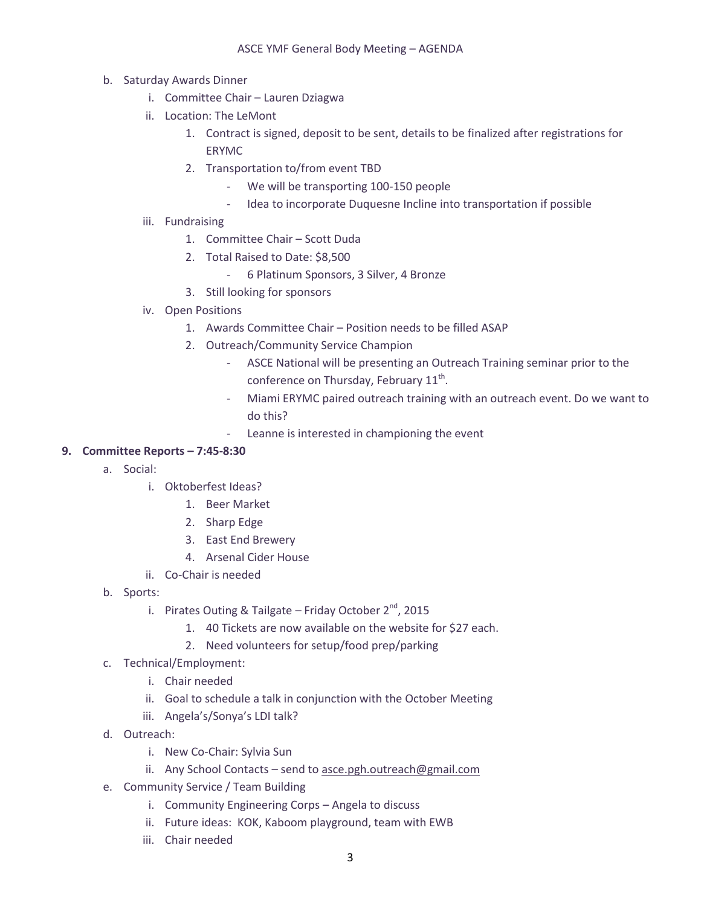- b. Saturday Awards Dinner
	- i. Committee Chair Lauren Dziagwa
	- ii. Location: The LeMont
		- 1. Contract is signed, deposit to be sent, details to be finalized after registrations for ERYMC
		- 2. Transportation to/from event TBD
			- We will be transporting 100-150 people
			- Idea to incorporate Duquesne Incline into transportation if possible
	- iii. Fundraising
		- 1. Committee Chair Scott Duda
		- 2. Total Raised to Date: \$8,500
			- 6 Platinum Sponsors, 3 Silver, 4 Bronze
		- 3. Still looking for sponsors
	- iv. Open Positions
		- 1. Awards Committee Chair Position needs to be filled ASAP
		- 2. Outreach/Community Service Champion
			- ASCE National will be presenting an Outreach Training seminar prior to the conference on Thursday, February  $11^{\text{th}}$ .
			- Miami ERYMC paired outreach training with an outreach event. Do we want to do this?
				- Leanne is interested in championing the event

## **9. Committee Reports – 7:45-8:30**

- a. Social:
	- i. Oktoberfest Ideas?
		- 1. Beer Market
		- 2. Sharp Edge
		- 3. East End Brewery
		- 4. Arsenal Cider House
	- ii. Co-Chair is needed
- b. Sports:
	- i. Pirates Outing & Tailgate Friday October  $2^{nd}$ , 2015
		- 1. 40 Tickets are now available on the website for \$27 each.
		- 2. Need volunteers for setup/food prep/parking
- c. Technical/Employment:
	- i. Chair needed
	- ii. Goal to schedule a talk in conjunction with the October Meeting
	- iii. Angela's/Sonya's LDI talk?
- d. Outreach:
	- i. New Co-Chair: Sylvia Sun
	- ii. Any School Contacts send to [asce.pgh.outreach@gmail.com](mailto:asce.pgh.outreach@gmail.com)
- e. Community Service / Team Building
	- i. Community Engineering Corps Angela to discuss
	- ii. Future ideas: KOK, Kaboom playground, team with EWB
	- iii. Chair needed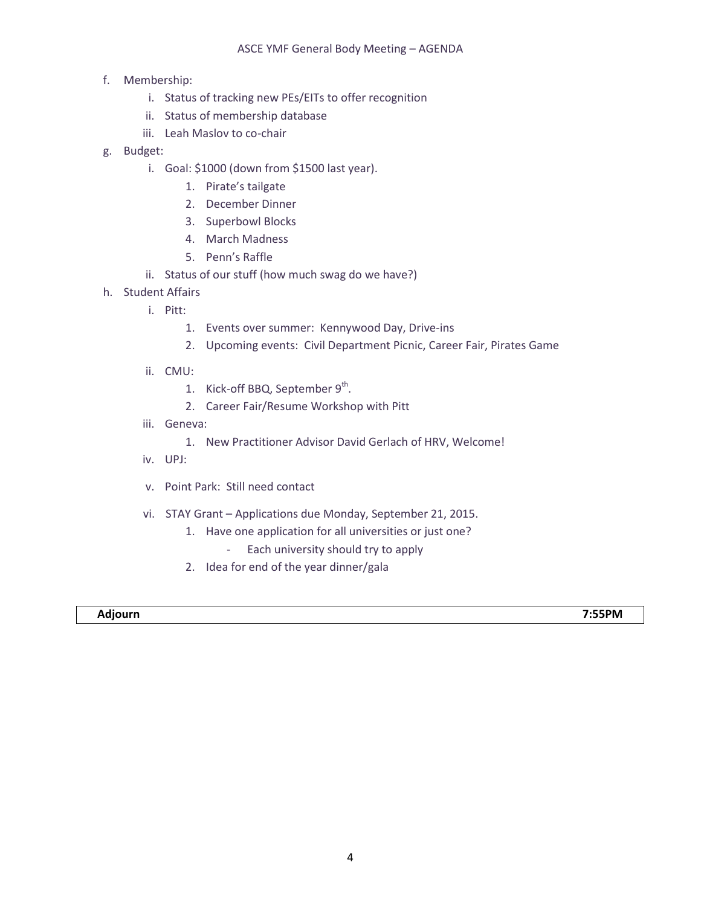- f. Membership:
	- i. Status of tracking new PEs/EITs to offer recognition
	- ii. Status of membership database
	- iii. Leah Maslov to co-chair
- g. Budget:
	- i. Goal: \$1000 (down from \$1500 last year).
		- 1. Pirate's tailgate
		- 2. December Dinner
		- 3. Superbowl Blocks
		- 4. March Madness
		- 5. Penn's Raffle
	- ii. Status of our stuff (how much swag do we have?)
- h. Student Affairs
	- i. Pitt:
		- 1. Events over summer: Kennywood Day, Drive-ins
		- 2. Upcoming events: Civil Department Picnic, Career Fair, Pirates Game
	- ii. CMU:
		- 1. Kick-off BBQ, September 9<sup>th</sup>.
		- 2. Career Fair/Resume Workshop with Pitt
	- iii. Geneva:
		- 1. New Practitioner Advisor David Gerlach of HRV, Welcome!
	- iv. UPJ:
	- v. Point Park: Still need contact
	- vi. STAY Grant Applications due Monday, September 21, 2015.
		- 1. Have one application for all universities or just one?
			- Each university should try to apply
		- 2. Idea for end of the year dinner/gala

#### **Adjourn 7:55PM**